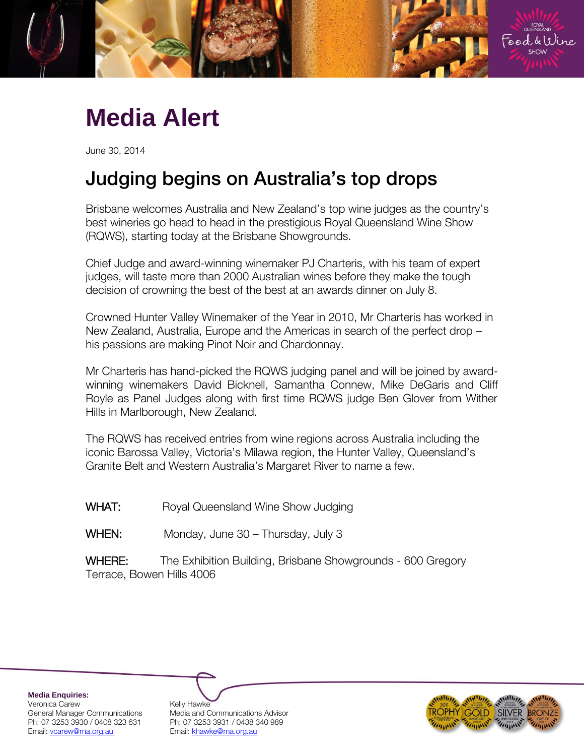

# **Media Alert**

June 30, 2014

## Judging begins on Australia's top drops

Brisbane welcomes Australia and New Zealand's top wine judges as the country's best wineries go head to head in the prestigious Royal Queensland Wine Show (RQWS), starting today at the Brisbane Showgrounds.

Chief Judge and award-winning winemaker PJ Charteris, with his team of expert judges, will taste more than 2000 Australian wines before they make the tough decision of crowning the best of the best at an awards dinner on July 8.

Crowned Hunter Valley Winemaker of the Year in 2010, Mr Charteris has worked in New Zealand, Australia, Europe and the Americas in search of the perfect drop – his passions are making Pinot Noir and Chardonnay.

Mr Charteris has hand-picked the RQWS judging panel and will be joined by awardwinning winemakers David Bicknell, Samantha Connew, Mike DeGaris and Cliff Royle as Panel Judges along with first time RQWS judge Ben Glover from Wither Hills in Marlborough, New Zealand.

The RQWS has received entries from wine regions across Australia including the iconic Barossa Valley, Victoria's Milawa region, the Hunter Valley, Queensland's Granite Belt and Western Australia's Margaret River to name a few.

WHAT: Royal Queensland Wine Show Judging

WHEN: Monday, June 30 – Thursday, July 3

WHERE: The Exhibition Building, Brisbane Showgrounds - 600 Gregory Terrace, Bowen Hills 4006

**Media Enquiries:** Veronica Carew **Kelly Hawke** Email[: vcarew@rna.org.au](mailto:vcarew@rna.org.au) Email: [khawke@rna.org.au](mailto:khawke@rna.org.au)

General Manager Communications Media and Communications Advisor Ph: 07 3253 3930 / 0408 323 631 Ph: 07 3253 3931 / 0438 340 989

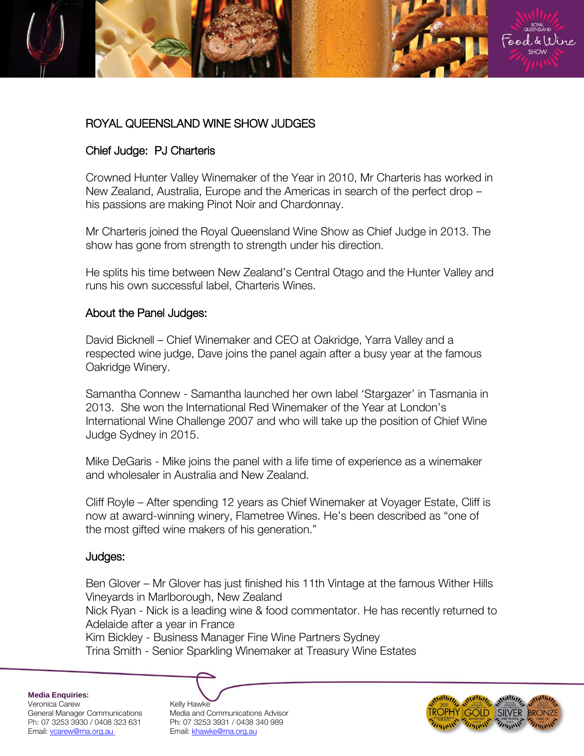### ROYAL QUEENSLAND WINE SHOW JUDGES

#### Chief Judge: PJ Charteris

Crowned Hunter Valley Winemaker of the Year in 2010, Mr Charteris has worked in New Zealand, Australia, Europe and the Americas in search of the perfect drop – his passions are making Pinot Noir and Chardonnay.

Mr Charteris joined the Royal Queensland Wine Show as Chief Judge in 2013. The show has gone from strength to strength under his direction.

He splits his time between New Zealand's Central Otago and the Hunter Valley and runs his own successful label, Charteris Wines.

#### About the Panel Judges:

David Bicknell – Chief Winemaker and CEO at Oakridge, Yarra Valley and a respected wine judge, Dave joins the panel again after a busy year at the famous Oakridge Winery.

Samantha Connew - Samantha launched her own label 'Stargazer' in Tasmania in 2013. She won the International Red Winemaker of the Year at London's International Wine Challenge 2007 and who will take up the position of Chief Wine Judge Sydney in 2015.

Mike DeGaris - Mike joins the panel with a life time of experience as a winemaker and wholesaler in Australia and New Zealand.

Cliff Royle – After spending 12 years as Chief Winemaker at Voyager Estate, Cliff is now at award-winning winery, Flametree Wines. He's been described as "one of the most gifted wine makers of his generation."

#### Judges:

Ben Glover – Mr Glover has just finished his 11th Vintage at the famous Wither Hills Vineyards in Marlborough, New Zealand

Nick Ryan - Nick is a leading wine & food commentator. He has recently returned to Adelaide after a year in France

Kim Bickley - Business Manager Fine Wine Partners Sydney

Trina Smith - Senior Sparkling Winemaker at Treasury Wine Estates

**Media Enquiries:** Veronica Carew **Kelly Hawke** Email[: vcarew@rna.org.au](mailto:vcarew@rna.org.au) Email: [khawke@rna.org.au](mailto:khawke@rna.org.au)

General Manager Communications Media and Communications Advisor Ph: 07 3253 3930 / 0408 323 631 Ph: 07 3253 3931 / 0438 340 989



ROYAL<br>QUEENSLAND ood & Wine